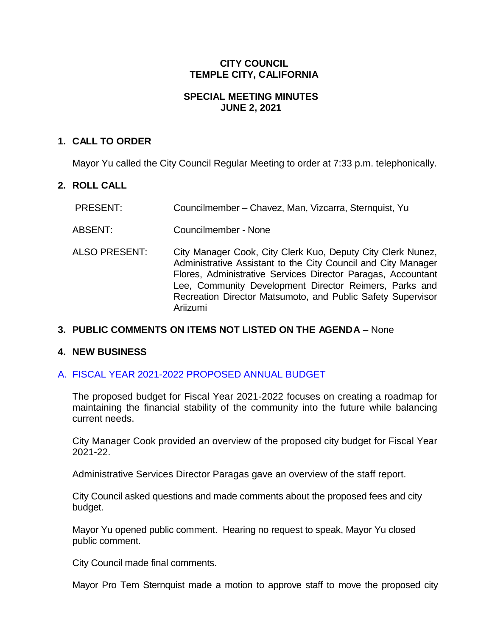### **CITY COUNCIL TEMPLE CITY, CALIFORNIA**

### **SPECIAL MEETING MINUTES JUNE 2, 2021**

### **1. CALL TO ORDER**

Mayor Yu called the City Council Regular Meeting to order at 7:33 p.m. telephonically.

# **2. ROLL CALL**

| <b>PRESENT:</b> | Councilmember - Chavez, Man, Vizcarra, Sternquist, Yu |  |  |
|-----------------|-------------------------------------------------------|--|--|
|                 |                                                       |  |  |

ABSENT: Councilmember - None

ALSO PRESENT: City Manager Cook, City Clerk Kuo, Deputy City Clerk Nunez, Administrative Assistant to the City Council and City Manager Flores, Administrative Services Director Paragas, Accountant Lee, Community Development Director Reimers, Parks and Recreation Director Matsumoto, and Public Safety Supervisor Ariizumi

# **3. PUBLIC COMMENTS ON ITEMS NOT LISTED ON THE AGENDA** – None

#### **4. NEW BUSINESS**

#### A. [FISCAL YEAR 2021-2022 PROPOSED ANNUAL BUDGET](https://www.ci.temple-city.ca.us/DocumentCenter/View/16333/4A_Staff-Report-Budget-Study-Session-FY2122)

The proposed budget for Fiscal Year 2021-2022 focuses on creating a roadmap for maintaining the financial stability of the community into the future while balancing current needs.

City Manager Cook provided an overview of the proposed city budget for Fiscal Year 2021-22.

Administrative Services Director Paragas gave an overview of the staff report.

City Council asked questions and made comments about the proposed fees and city budget.

Mayor Yu opened public comment. Hearing no request to speak, Mayor Yu closed public comment.

City Council made final comments.

Mayor Pro Tem Sternquist made a motion to approve staff to move the proposed city